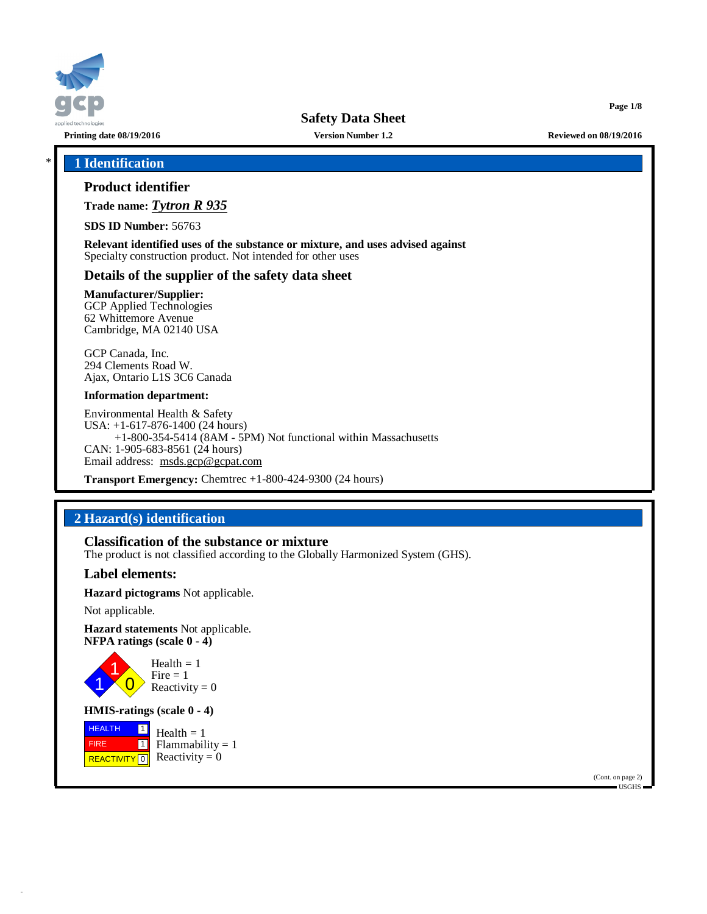

**Printing date 08/19/2016 Version Number 1.2 Reviewed on 08/19/2016**

**Page 1/8**

## \* **1 Identification**

# **Product identifier**

**Trade name:** *Tytron R 935*

**SDS ID Number:** 56763

**Relevant identified uses of the substance or mixture, and uses advised against** Specialty construction product. Not intended for other uses

# **Details of the supplier of the safety data sheet**

**Manufacturer/Supplier:** GCP Applied Technologies

62 Whittemore Avenue Cambridge, MA 02140 USA

GCP Canada, Inc. 294 Clements Road W. Ajax, Ontario L1S 3C6 Canada

#### **Information department:**

Environmental Health & Safety USA: +1-617-876-1400 (24 hours) +1-800-354-5414 (8AM - 5PM) Not functional within Massachusetts CAN: 1-905-683-8561 (24 hours) Email address: [msds.gcp@gcpat.com](mailto:msds.gcp@gcpat.com)

**Transport Emergency:** Chemtrec +1-800-424-9300 (24 hours)

# **2 Hazard(s) identification**

## **Classification of the substance or mixture**

The product is not classified according to the Globally Harmonized System (GHS).

## **Label elements:**

**Hazard pictograms** Not applicable.

Not applicable.

**Hazard statements** Not applicable. **NFPA ratings (scale 0 - 4)**



Reactivity  $= 0$ 

**HMIS-ratings (scale 0 - 4)**

**HEALTH**  FIRE REACTIVITY  $\boxed{0}$  Reactivity = 0  $\boxed{1}$ 1  $Health = 1$  $Flammability = 1$ 

> (Cont. on page 2) USGHS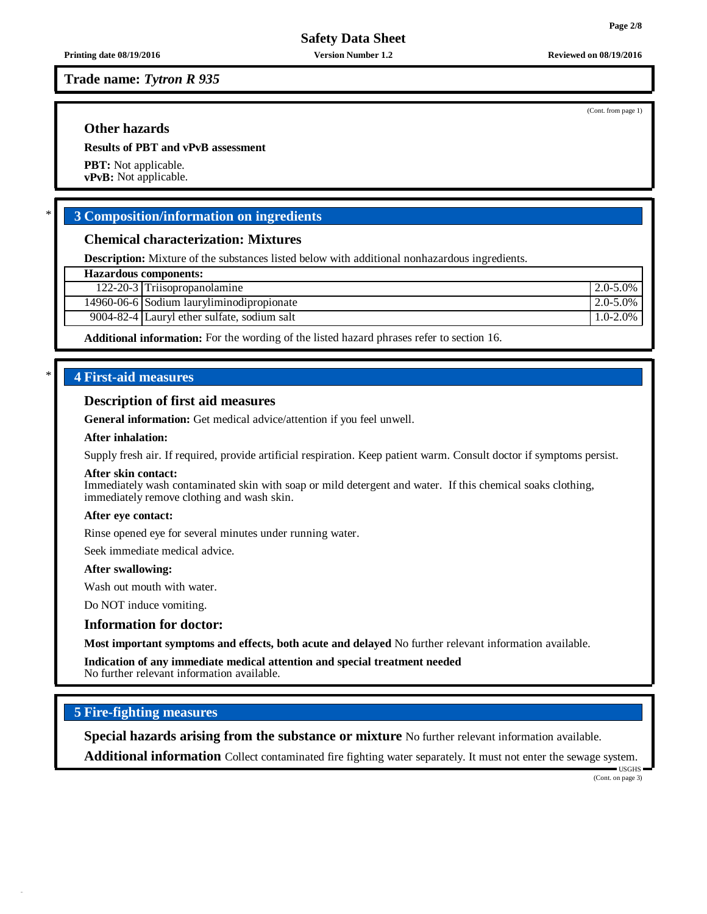**Trade name:** *Tytron R 935*

## **Other hazards**

**Results of PBT and vPvB assessment**

**PBT:** Not applicable. **vPvB:** Not applicable.

## \* **3 Composition/information on ingredients**

### **Chemical characterization: Mixtures**

**Description:** Mixture of the substances listed below with additional nonhazardous ingredients.

122-20-3 Triisopropanolamine 2.0-5.0%

14960-06-6 Sodium lauryliminodipropionate 2.0-5.0%

9004-82-4 Lauryl ether sulfate, sodium salt 1.0-2.0%

**Additional information:** For the wording of the listed hazard phrases refer to section 16.

# \* **4 First-aid measures**

## **Description of first aid measures**

#### **After skin contact:**

**After swallowing:**

Wash out mouth with water.

Do NOT induce vomiting.

**Information for doctor:**

**Most important symptoms and effects, both acute and delayed** No further relevant information available.

**Indication of any immediate medical attention and special treatment needed** No further relevant information available.

## **5 Fire-fighting measures**

**Special hazards arising from the substance or mixture** No further relevant information available.

**Additional information** Collect contaminated fire fighting water separately. It must not enter the sewage system.

USGHS (Cont. on page 3)

(Cont. from page 1)

**General information:** Get medical advice/attention if you feel unwell.

#### **After inhalation:**

Supply fresh air. If required, provide artificial respiration. Keep patient warm. Consult doctor if symptoms persist.

Immediately wash contaminated skin with soap or mild detergent and water. If this chemical soaks clothing, immediately remove clothing and wash skin.

#### **After eye contact:**

Rinse opened eye for several minutes under running water.

Seek immediate medical advice.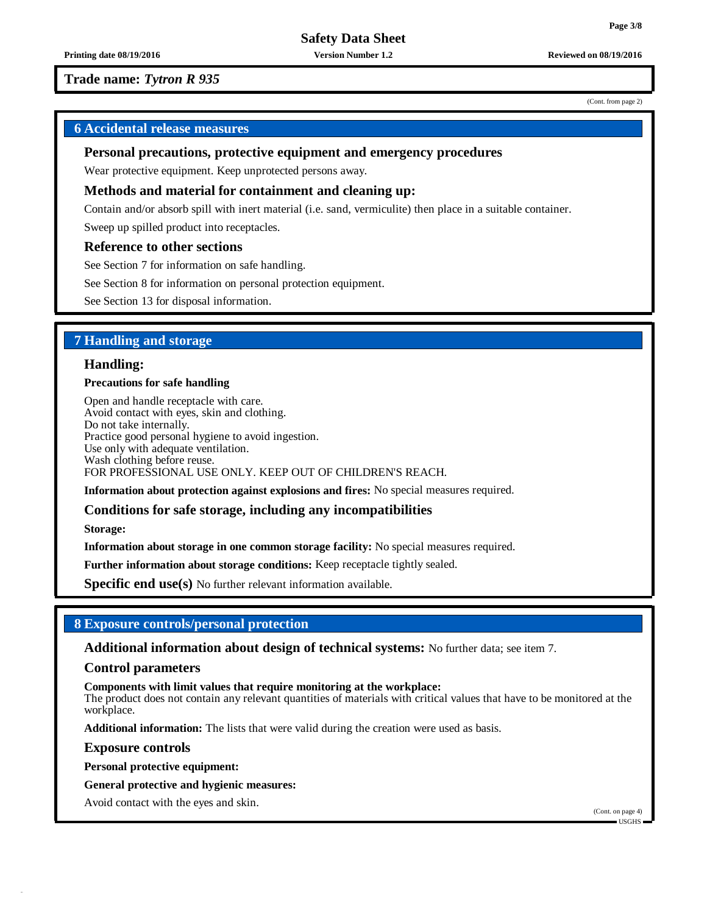**Printing date 08/19/2016 Version Number 1.2 Reviewed on 08/19/2016**

## **Trade name:** *Tytron R 935*

## **6 Accidental release measures**

### **Personal precautions, protective equipment and emergency procedures**

Wear protective equipment. Keep unprotected persons away.

### **Methods and material for containment and cleaning up:**

Contain and/or absorb spill with inert material (i.e. sand, vermiculite) then place in a suitable container.

Sweep up spilled product into receptacles.

#### **Reference to other sections**

See Section 7 for information on safe handling.

See Section 8 for information on personal protection equipment.

See Section 13 for disposal information.

## **7 Handling and storage**

### **Handling:**

#### **Precautions for safe handling**

Open and handle receptacle with care. Avoid contact with eyes, skin and clothing. Do not take internally. Practice good personal hygiene to avoid ingestion. Use only with adequate ventilation. Wash clothing before reuse. FOR PROFESSIONAL USE ONLY. KEEP OUT OF CHILDREN'S REACH.

**Information about protection against explosions and fires:** No special measures required.

#### **Conditions for safe storage, including any incompatibilities**

**Storage:**

**Information about storage in one common storage facility:** No special measures required.

**Further information about storage conditions:** Keep receptacle tightly sealed.

**Specific end use(s)** No further relevant information available.

## **8 Exposure controls/personal protection**

**Additional information about design of technical systems:** No further data; see item 7.

#### **Control parameters**

**Components with limit values that require monitoring at the workplace:**

The product does not contain any relevant quantities of materials with critical values that have to be monitored at the workplace.

**Additional information:** The lists that were valid during the creation were used as basis.

**Exposure controls**

**Personal protective equipment:**

**General protective and hygienic measures:**

Avoid contact with the eyes and skin.

(Cont. on page 4)  $\blacksquare$ USGHS

(Cont. from page 2)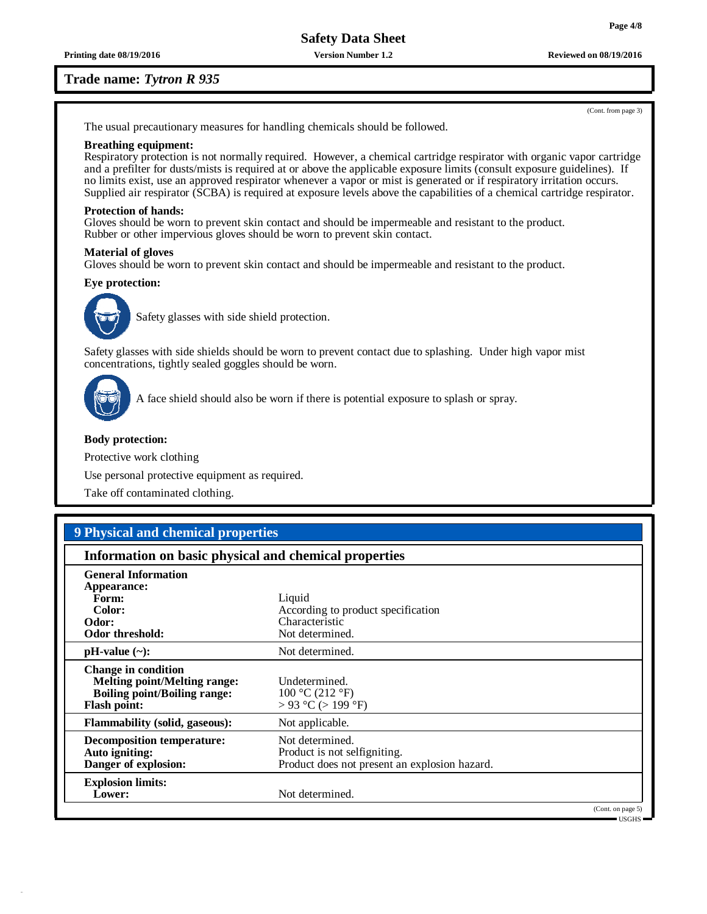**Printing date 08/19/2016 Version Number 1.2 Reviewed on 08/19/2016**

### **Trade name:** *Tytron R 935*

The usual precautionary measures for handling chemicals should be followed.

#### **Breathing equipment:**

Respiratory protection is not normally required. However, a chemical cartridge respirator with organic vapor cartridge and a prefilter for dusts/mists is required at or above the applicable exposure limits (consult exposure guidelines). If no limits exist, use an approved respirator whenever a vapor or mist is generated or if respiratory irritation occurs. Supplied air respirator (SCBA) is required at exposure levels above the capabilities of a chemical cartridge respirator.

#### **Protection of hands:**

Gloves should be worn to prevent skin contact and should be impermeable and resistant to the product. Rubber or other impervious gloves should be worn to prevent skin contact.

#### **Material of gloves**

Gloves should be worn to prevent skin contact and should be impermeable and resistant to the product.

#### **Eye protection:**



Safety glasses with side shield protection.

Safety glasses with side shields should be worn to prevent contact due to splashing. Under high vapor mist concentrations, tightly sealed goggles should be worn.



A face shield should also be worn if there is potential exposure to splash or spray.

#### **Body protection:**

Protective work clothing

Use personal protective equipment as required.

Take off contaminated clothing.

# **9 Physical and chemical properties**

| Information on basic physical and chemical properties                                                                           |                                                                                                  |  |
|---------------------------------------------------------------------------------------------------------------------------------|--------------------------------------------------------------------------------------------------|--|
| <b>General Information</b><br>Appearance:<br>Form:<br>Color:<br>Odor:<br>Odor threshold:                                        | Liquid<br>According to product specification<br>Characteristic<br>Not determined.                |  |
| $pH-value$ (~):                                                                                                                 | Not determined.                                                                                  |  |
| <b>Change in condition</b><br><b>Melting point/Melting range:</b><br><b>Boiling point/Boiling range:</b><br><b>Flash point:</b> | Undetermined.<br>100 °C (212 °F)<br>$> 93$ °C ( $> 199$ °F)                                      |  |
| <b>Flammability (solid, gaseous):</b>                                                                                           | Not applicable.                                                                                  |  |
| Decomposition temperature:<br>Auto igniting:<br>Danger of explosion:                                                            | Not determined.<br>Product is not selfigniting.<br>Product does not present an explosion hazard. |  |
| <b>Explosion limits:</b><br>Lower:                                                                                              | Not determined.<br>(Cont. on page 5)                                                             |  |

USGHS

(Cont. from page 3)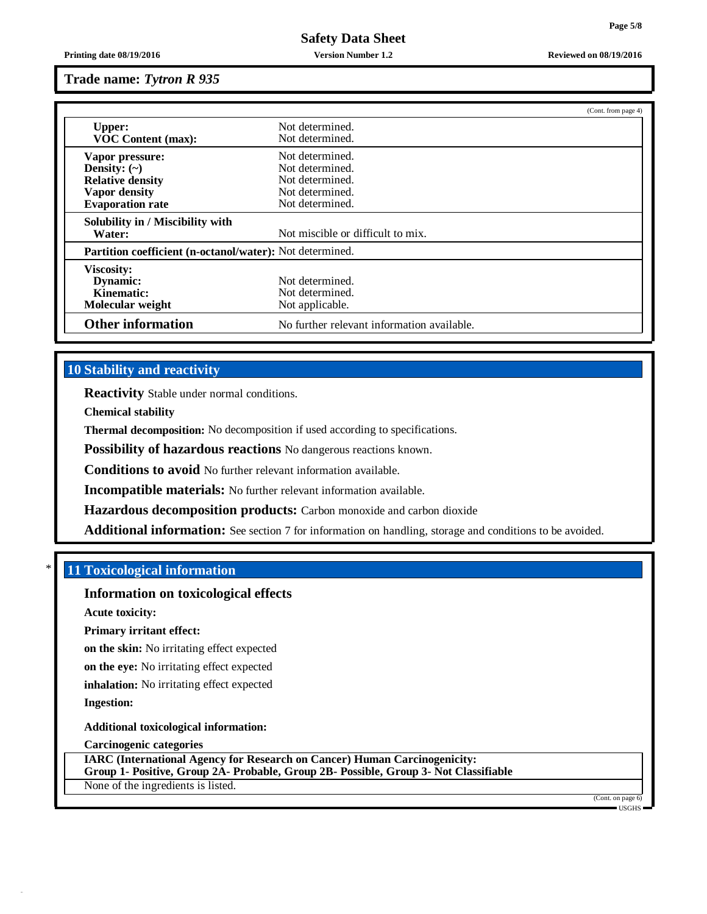**Printing date 08/19/2016 Version Number 1.2 Reviewed on 08/19/2016**

### **Trade name:** *Tytron R 935*

|                                                          |                                            | (Cont. from page 4) |
|----------------------------------------------------------|--------------------------------------------|---------------------|
| <b>Upper:</b>                                            | Not determined.                            |                     |
| <b>VOC Content (max):</b>                                | Not determined.                            |                     |
| Vapor pressure:                                          | Not determined.                            |                     |
| Density: $(\sim)$                                        | Not determined.                            |                     |
| <b>Relative density</b>                                  | Not determined.                            |                     |
| <b>Vapor density</b>                                     | Not determined.                            |                     |
| <b>Evaporation rate</b>                                  | Not determined.                            |                     |
| Solubility in / Miscibility with                         |                                            |                     |
| Water:                                                   | Not miscible or difficult to mix.          |                     |
| Partition coefficient (n-octanol/water): Not determined. |                                            |                     |
| <b>Viscosity:</b>                                        |                                            |                     |
| Dynamic:                                                 | Not determined.                            |                     |
| Kinematic:                                               | Not determined.                            |                     |
| Molecular weight                                         | Not applicable.                            |                     |
| <b>Other information</b>                                 | No further relevant information available. |                     |

## **10 Stability and reactivity**

**Reactivity** Stable under normal conditions.

**Chemical stability**

**Thermal decomposition:** No decomposition if used according to specifications.

**Possibility of hazardous reactions** No dangerous reactions known.

**Conditions to avoid** No further relevant information available.

**Incompatible materials:** No further relevant information available.

**Hazardous decomposition products:** Carbon monoxide and carbon dioxide

**Additional information:** See section 7 for information on handling, storage and conditions to be avoided.

## \* **11 Toxicological information**

#### **Information on toxicological effects**

**Acute toxicity:**

**Primary irritant effect:**

**on the skin:** No irritating effect expected

**on the eye:** No irritating effect expected

**inhalation:** No irritating effect expected

**Ingestion:**

**Additional toxicological information:**

**Carcinogenic categories**

**IARC (International Agency for Research on Cancer) Human Carcinogenicity: Group 1- Positive, Group 2A- Probable, Group 2B- Possible, Group 3- Not Classifiable** None of the ingredients is listed.

> (Cont. on page USGHS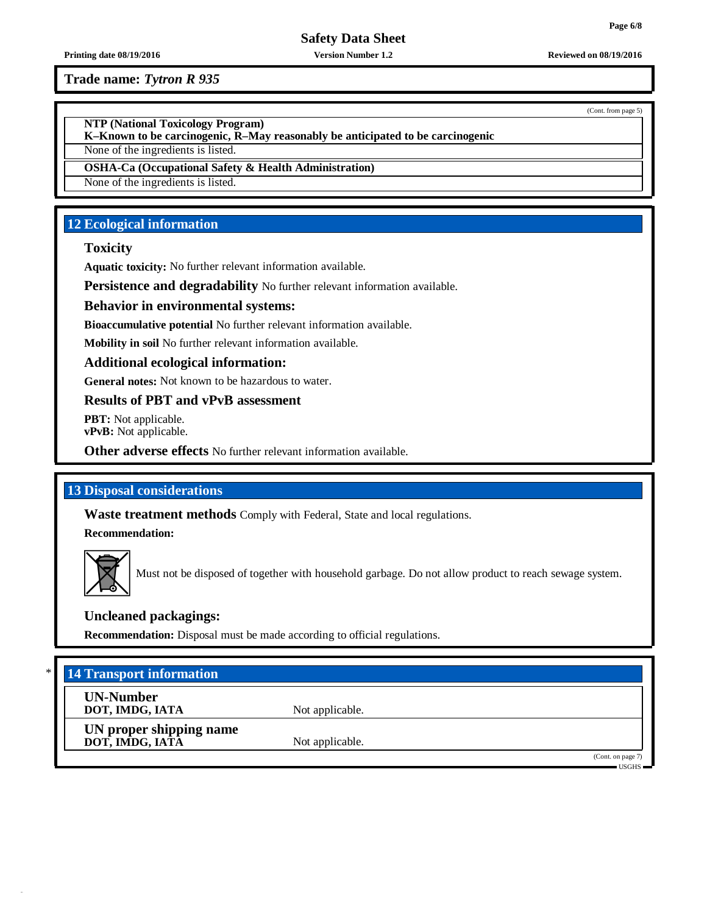**Trade name:** *Tytron R 935*

**NTP (National Toxicology Program)**

**K–Known to be carcinogenic, R–May reasonably be anticipated to be carcinogenic**

None of the ingredients is listed.

**OSHA-Ca (Occupational Safety & Health Administration)**

None of the ingredients is listed.

# **12 Ecological information**

## **Toxicity**

**Aquatic toxicity:** No further relevant information available.

**Persistence and degradability** No further relevant information available.

## **Behavior in environmental systems:**

**Bioaccumulative potential** No further relevant information available.

**Mobility in soil** No further relevant information available.

## **Additional ecological information:**

**General notes:** Not known to be hazardous to water.

# **Results of PBT and vPvB assessment**

**PBT:** Not applicable. **vPvB:** Not applicable.

**Other adverse effects** No further relevant information available.

# **13 Disposal considerations**

**Waste treatment methods** Comply with Federal, State and local regulations.

**Recommendation:**



Must not be disposed of together with household garbage. Do not allow product to reach sewage system.

# **Uncleaned packagings:**

**Recommendation:** Disposal must be made according to official regulations.

| * I<br><b>14 Transport information</b>     |                 |                                |
|--------------------------------------------|-----------------|--------------------------------|
| <b>UN-Number</b><br>DOT, IMDG, IATA        | Not applicable. |                                |
| UN proper shipping name<br>DOT, IMDG, IATA | Not applicable. |                                |
|                                            |                 | (Cont. on page 7)<br>$USGHS =$ |

**Printing date 08/19/2016 Version Number 1.2 Reviewed on 08/19/2016**

(Cont. from page 5)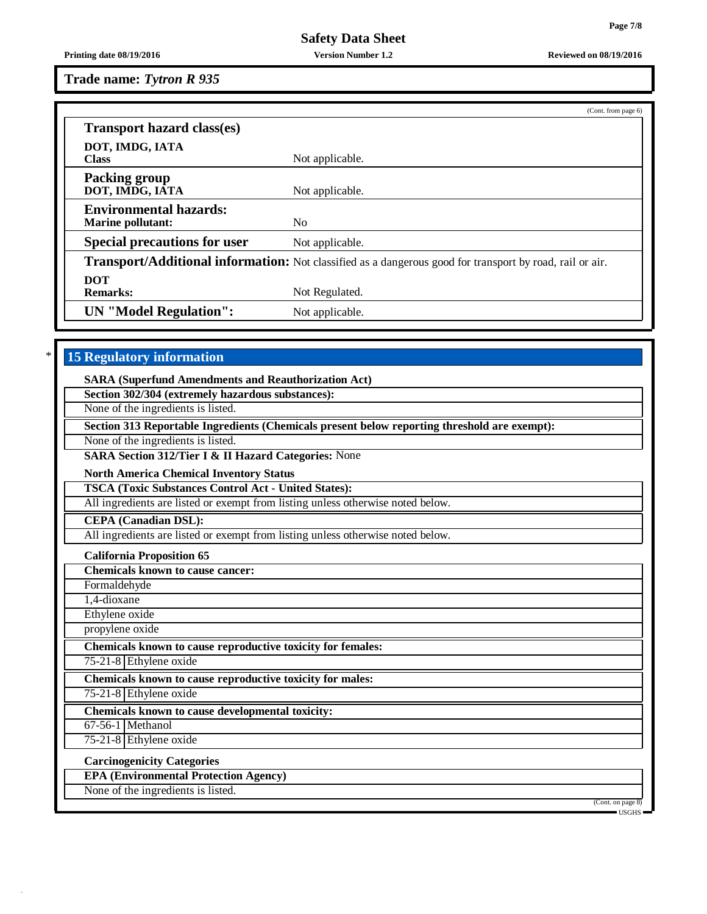**Printing date 08/19/2016 Version Number 1.2 Reviewed on 08/19/2016**

**Trade name:** *Tytron R 935*

|                                         | (Cont. from page 6)                                                                                             |
|-----------------------------------------|-----------------------------------------------------------------------------------------------------------------|
| <b>Transport hazard class(es)</b>       |                                                                                                                 |
| DOT, IMDG, IATA                         |                                                                                                                 |
| <b>Class</b>                            | Not applicable.                                                                                                 |
| <b>Packing group</b><br>DOT, IMDG, IATA | Not applicable.                                                                                                 |
| <b>Environmental hazards:</b>           |                                                                                                                 |
| <b>Marine pollutant:</b>                | N <sub>0</sub>                                                                                                  |
| <b>Special precautions for user</b>     | Not applicable.                                                                                                 |
|                                         | <b>Transport/Additional information:</b> Not classified as a dangerous good for transport by road, rail or air. |
| <b>DOT</b>                              |                                                                                                                 |
| <b>Remarks:</b>                         | Not Regulated.                                                                                                  |
| <b>UN</b> "Model Regulation":           | Not applicable.                                                                                                 |

# \* **15 Regulatory information**

**SARA (Superfund Amendments and Reauthorization Act)**

**Section 302/304 (extremely hazardous substances):**

None of the ingredients is listed.

**Section 313 Reportable Ingredients (Chemicals present below reporting threshold are exempt):**

None of the ingredients is listed.

**SARA Section 312/Tier I & II Hazard Categories:** None

**North America Chemical Inventory Status**

**TSCA (Toxic Substances Control Act - United States):**

All ingredients are listed or exempt from listing unless otherwise noted below.

**CEPA (Canadian DSL):**

All ingredients are listed or exempt from listing unless otherwise noted below.

**California Proposition 65**

**Chemicals known to cause cancer:**

Formaldehyde

1,4-dioxane

Ethylene oxide

propylene oxide **Chemicals known to cause reproductive toxicity for females:**

75-21-8 Ethylene oxide

**Chemicals known to cause reproductive toxicity for males:**

75-21-8 Ethylene oxide

**Chemicals known to cause developmental toxicity:**

67-56-1 Methanol

75-21-8 Ethylene oxide

**Carcinogenicity Categories**

**EPA (Environmental Protection Agency)**

None of the ingredients is listed.

(Cont. on page 8) USGHS